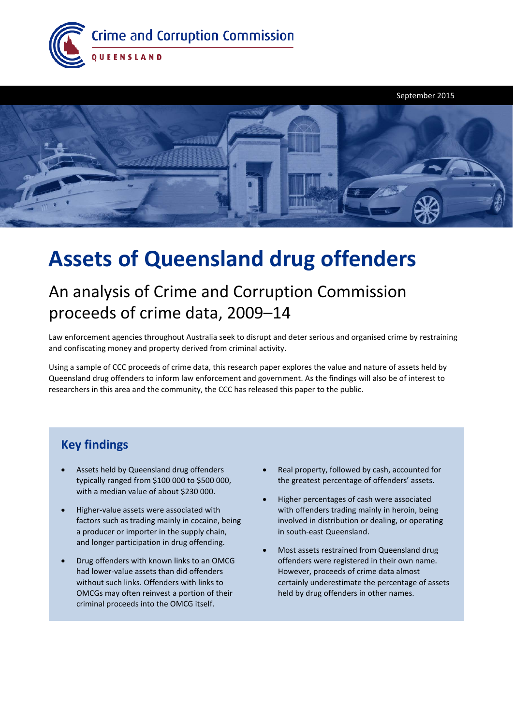



# **Assets of Queensland drug offenders**

## An analysis of Crime and Corruption Commission proceeds of crime data, 2009–14

Law enforcement agencies throughout Australia seek to disrupt and deter serious and organised crime by restraining and confiscating money and property derived from criminal activity.

Using a sample of CCC proceeds of crime data, this research paper explores the value and nature of assets held by Queensland drug offenders to inform law enforcement and government. As the findings will also be of interest to researchers in this area and the community, the CCC has released this paper to the public.

### **Key findings**

- Assets held by Queensland drug offenders typically ranged from \$100 000 to \$500 000, with a median value of about \$230 000.
- Higher-value assets were associated with factors such as trading mainly in cocaine, being a producer or importer in the supply chain, and longer participation in drug offending.
- Drug offenders with known links to an OMCG had lower-value assets than did offenders without such links. Offenders with links to OMCGs may often reinvest a portion of their criminal proceeds into the OMCG itself.
- Real property, followed by cash, accounted for the greatest percentage of offenders' assets.
- Higher percentages of cash were associated with offenders trading mainly in heroin, being involved in distribution or dealing, or operating in south-east Queensland.
- Most assets restrained from Queensland drug offenders were registered in their own name. However, proceeds of crime data almost certainly underestimate the percentage of assets held by drug offenders in other names.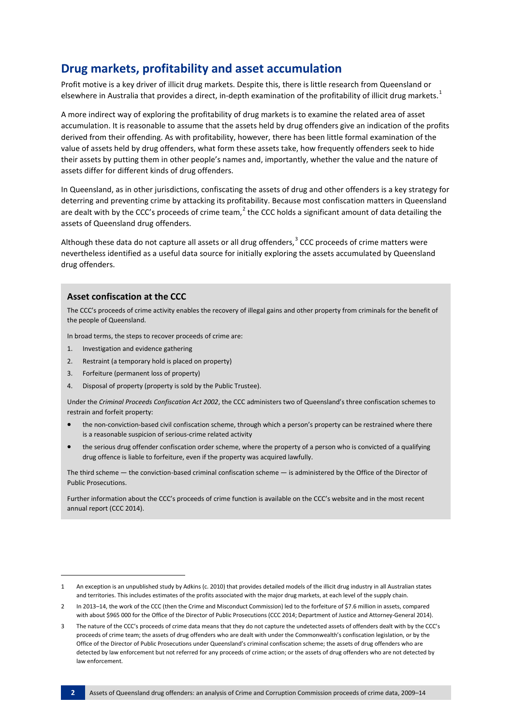### **Drug markets, profitability and asset accumulation**

Profit motive is a key driver of illicit drug markets. Despite this, there is little research from Queensland or elsewhere in Australia that provides a direct, in-depth examination of the profitability of illicit drug markets.<sup>[1](#page-1-0)</sup>

A more indirect way of exploring the profitability of drug markets is to examine the related area of asset accumulation. It is reasonable to assume that the assets held by drug offenders give an indication of the profits derived from their offending. As with profitability, however, there has been little formal examination of the value of assets held by drug offenders, what form these assets take, how frequently offenders seek to hide their assets by putting them in other people's names and, importantly, whether the value and the nature of assets differ for different kinds of drug offenders.

In Queensland, as in other jurisdictions, confiscating the assets of drug and other offenders is a key strategy for deterring and preventing crime by attacking its profitability. Because most confiscation matters in Queensland are dealt with by the CCC's proceeds of crime team,<sup>[2](#page-1-1)</sup> the CCC holds a significant amount of data detailing the assets of Queensland drug offenders.

Although these data do not capture all assets or all drug offenders,<sup>[3](#page-1-2)</sup> CCC proceeds of crime matters were nevertheless identified as a useful data source for initially exploring the assets accumulated by Queensland drug offenders.

#### **Asset confiscation at the CCC**

The CCC's proceeds of crime activity enables the recovery of illegal gains and other property from criminals for the benefit of the people of Queensland.

In broad terms, the steps to recover proceeds of crime are:

- 1. Investigation and evidence gathering
- 2. Restraint (a temporary hold is placed on property)
- 3. Forfeiture (permanent loss of property)
- 4. Disposal of property (property is sold by the Public Trustee).

Under the *Criminal Proceeds Confiscation Act 2002*, the CCC administers two of Queensland's three confiscation schemes to restrain and forfeit property:

- the non-conviction-based civil confiscation scheme, through which a person's property can be restrained where there is a reasonable suspicion of serious-crime related activity
- the serious drug offender confiscation order scheme, where the property of a person who is convicted of a qualifying drug offence is liable to forfeiture, even if the property was acquired lawfully.

The third scheme — the conviction-based criminal confiscation scheme — is administered by the Office of the Director of Public Prosecutions.

Further information about the CCC's proceeds of crime function is available on the CCC's website and in the most recent annual report (CCC 2014).

1

<span id="page-1-0"></span><sup>1</sup> An exception is an unpublished study by Adkins (c. 2010) that provides detailed models of the illicit drug industry in all Australian states and territories. This includes estimates of the profits associated with the major drug markets, at each level of the supply chain.

<span id="page-1-1"></span><sup>2</sup> In 2013–14, the work of the CCC (then the Crime and Misconduct Commission) led to the forfeiture of \$7.6 million in assets, compared with about \$965 000 for the Office of the Director of Public Prosecutions (CCC 2014; Department of Justice and Attorney-General 2014).

<span id="page-1-2"></span><sup>3</sup> The nature of the CCC's proceeds of crime data means that they do not capture the undetected assets of offenders dealt with by the CCC's proceeds of crime team; the assets of drug offenders who are dealt with under the Commonwealth's confiscation legislation, or by the Office of the Director of Public Prosecutions under Queensland's criminal confiscation scheme; the assets of drug offenders who are detected by law enforcement but not referred for any proceeds of crime action; or the assets of drug offenders who are not detected by law enforcement.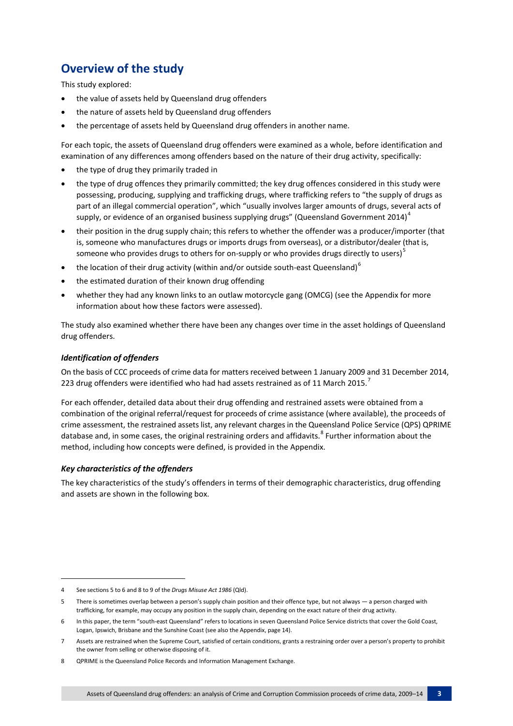### **Overview of the study**

This study explored:

- the value of assets held by Queensland drug offenders
- the nature of assets held by Queensland drug offenders
- the percentage of assets held by Queensland drug offenders in another name.

For each topic, the assets of Queensland drug offenders were examined as a whole, before identification and examination of any differences among offenders based on the nature of their drug activity, specifically:

- the type of drug they primarily traded in
- the type of drug offences they primarily committed; the key drug offences considered in this study were possessing, producing, supplying and trafficking drugs, where trafficking refers to "the supply of drugs as part of an illegal commercial operation", which "usually involves larger amounts of drugs, several acts of supply, or evidence of an organised business supplying drugs" (Queensland Government 201[4](#page-2-0))<sup>4</sup>
- their position in the drug supply chain; this refers to whether the offender was a producer/importer (that is, someone who manufactures drugs or imports drugs from overseas), or a distributor/dealer (that is, someone who provides drugs to others for on-supply or who provides drugs directly to users)<sup>[5](#page-2-1)</sup>
- the location of their drug activity (within and/or outside south-east Queensland) $<sup>6</sup>$  $<sup>6</sup>$  $<sup>6</sup>$ </sup>
- the estimated duration of their known drug offending
- whether they had any known links to an outlaw motorcycle gang (OMCG) (see the Appendix for more information about how these factors were assessed).

The study also examined whether there have been any changes over time in the asset holdings of Queensland drug offenders.

#### *Identification of offenders*

On the basis of CCC proceeds of crime data for matters received between 1 January 2009 and 31 December 2014, 223 drug offenders were identified who had had assets restrained as of 11 March 2015.<sup>[7](#page-2-3)</sup>

For each offender, detailed data about their drug offending and restrained assets were obtained from a combination of the original referral/request for proceeds of crime assistance (where available), the proceeds of crime assessment, the restrained assets list, any relevant charges in the Queensland Police Service (QPS) QPRIME database and, in some cases, the original restraining orders and affidavits.<sup>[8](#page-2-4)</sup> Further information about the method, including how concepts were defined, is provided in the Appendix.

#### *Key characteristics of the offenders*

1

The key characteristics of the study's offenders in terms of their demographic characteristics, drug offending and assets are shown in the following box.

<span id="page-2-0"></span><sup>4</sup> See sections 5 to 6 and 8 to 9 of the *Drugs Misuse Act 1986* (Qld).

<span id="page-2-1"></span><sup>5</sup> There is sometimes overlap between a person's supply chain position and their offence type, but not always — a person charged with trafficking, for example, may occupy any position in the supply chain, depending on the exact nature of their drug activity.

<span id="page-2-2"></span><sup>6</sup> In this paper, the term "south-east Queensland" refers to locations in seven Queensland Police Service districts that cover the Gold Coast, Logan, Ipswich, Brisbane and the Sunshine Coast (see also the Appendix, page 14).

<span id="page-2-3"></span><sup>7</sup> Assets are restrained when the Supreme Court, satisfied of certain conditions, grants a restraining order over a person's property to prohibit the owner from selling or otherwise disposing of it.

<span id="page-2-4"></span><sup>8</sup> QPRIME is the Queensland Police Records and Information Management Exchange.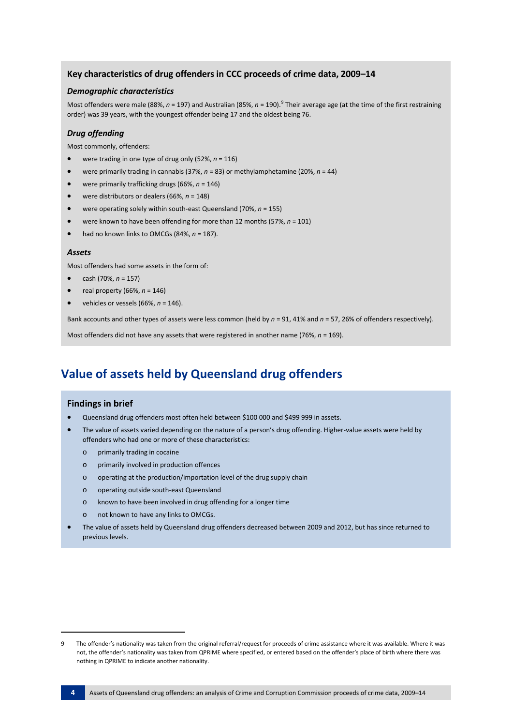#### **Key characteristics of drug offenders in CCC proceeds of crime data, 2009–14**

#### *Demographic characteristics*

Most offenders were male (88%, *n* = 1[9](#page-3-0)7) and Australian (85%, *n* = 190).<sup>9</sup> Their average age (at the time of the first restraining order) was 39 years, with the youngest offender being 17 and the oldest being 76.

#### *Drug offending*

Most commonly, offenders:

- were trading in one type of drug only (52%, *n* = 116)
- were primarily trading in cannabis (37%, *n* = 83) or methylamphetamine (20%, *n* = 44)
- were primarily trafficking drugs (66%, *n* = 146)
- were distributors or dealers (66%, *n* = 148)
- were operating solely within south-east Queensland (70%, *n* = 155)
- were known to have been offending for more than 12 months (57%, *n* = 101)
- had no known links to OMCGs (84%, *n* = 187).

#### *Assets*

Most offenders had some assets in the form of:

- cash (70%, *n* = 157)
- real property (66%, *n* = 146)
- vehicles or vessels (66%, *n* = 146).

Bank accounts and other types of assets were less common (held by *n* = 91, 41% and *n* = 57, 26% of offenders respectively).

Most offenders did not have any assets that were registered in another name (76%, *n* = 169).

### **Value of assets held by Queensland drug offenders**

#### **Findings in brief**

- Queensland drug offenders most often held between \$100 000 and \$499 999 in assets.
- The value of assets varied depending on the nature of a person's drug offending. Higher-value assets were held by offenders who had one or more of these characteristics:
	- o primarily trading in cocaine
	- o primarily involved in production offences
	- o operating at the production/importation level of the drug supply chain
	- o operating outside south-east Queensland
	- o known to have been involved in drug offending for a longer time
	- not known to have any links to OMCGs.
- The value of assets held by Queensland drug offenders decreased between 2009 and 2012, but has since returned to previous levels.

1

<span id="page-3-0"></span><sup>9</sup> The offender's nationality was taken from the original referral/request for proceeds of crime assistance where it was available. Where it was not, the offender's nationality was taken from QPRIME where specified, or entered based on the offender's place of birth where there was nothing in QPRIME to indicate another nationality.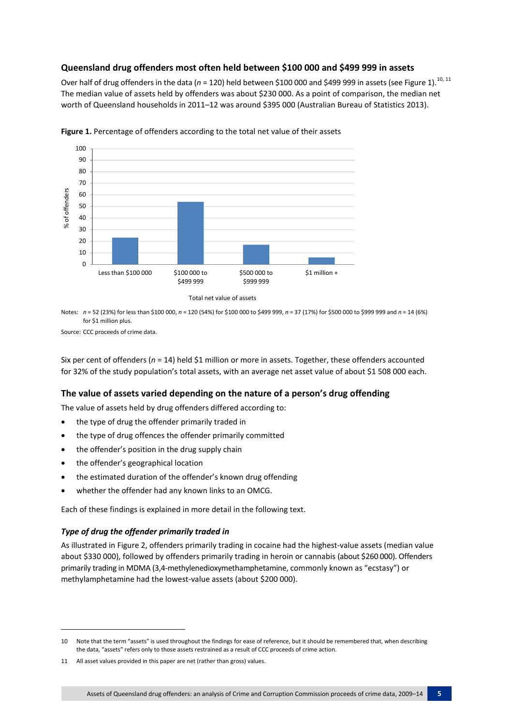#### **Queensland drug offenders most often held between \$100 000 and \$499 999 in assets**

Over half of drug offenders in the data (n = 120) held between \$100 000 and \$499 999 in assets (see Figure 1).<sup>[10,](#page-4-0) [11](#page-4-1)</sup> The median value of assets held by offenders was about \$230 000. As a point of comparison, the median net worth of Queensland households in 2011–12 was around \$395 000 (Australian Bureau of Statistics 2013).



**Figure 1.** Percentage of offenders according to the total net value of their assets

Notes: *n* = 52 (23%) for less than \$100 000, *n* = 120 (54%) for \$100 000 to \$499 999, *n* = 37 (17%) for \$500 000 to \$999 999 and *n* = 14 (6%) for \$1 million plus.

Source: CCC proceeds of crime data.

Six per cent of offenders (*n* = 14) held \$1 million or more in assets. Together, these offenders accounted for 32% of the study population's total assets, with an average net asset value of about \$1 508 000 each.

#### **The value of assets varied depending on the nature of a person's drug offending**

The value of assets held by drug offenders differed according to:

- the type of drug the offender primarily traded in
- the type of drug offences the offender primarily committed
- the offender's position in the drug supply chain
- the offender's geographical location
- the estimated duration of the offender's known drug offending
- whether the offender had any known links to an OMCG.

Each of these findings is explained in more detail in the following text.

#### *Type of drug the offender primarily traded in*

1

As illustrated in Figure 2, offenders primarily trading in cocaine had the highest-value assets (median value about \$330 000), followed by offenders primarily trading in heroin or cannabis (about \$260 000). Offenders primarily trading in MDMA (3,4-methylenedioxymethamphetamine, commonly known as "ecstasy") or methylamphetamine had the lowest-value assets (about \$200 000).

<span id="page-4-0"></span><sup>10</sup> Note that the term "assets" is used throughout the findings for ease of reference, but it should be remembered that, when describing the data, "assets" refers only to those assets restrained as a result of CCC proceeds of crime action.

<span id="page-4-1"></span><sup>11</sup> All asset values provided in this paper are net (rather than gross) values.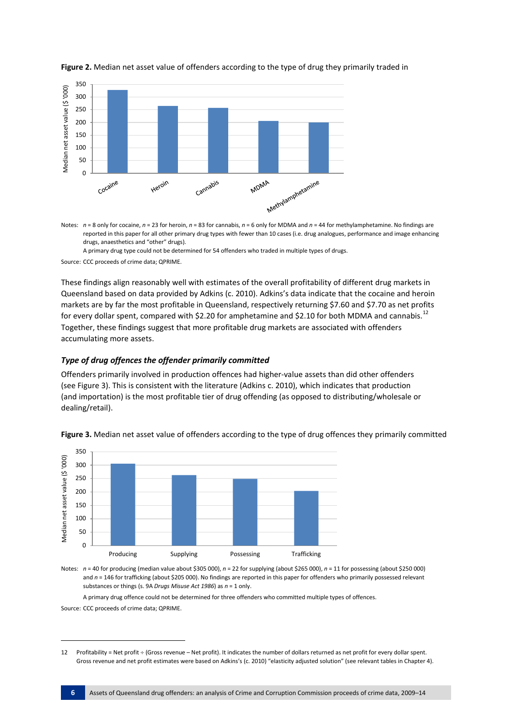

**Figure 2.** Median net asset value of offenders according to the type of drug they primarily traded in

Notes: *n* = 8 only for cocaine, *n* = 23 for heroin, *n* = 83 for cannabis, *n* = 6 only for MDMA and *n* = 44 for methylamphetamine. No findings are reported in this paper for all other primary drug types with fewer than 10 cases (i.e. drug analogues, performance and image enhancing drugs, anaesthetics and "other" drugs).

A primary drug type could not be determined for 54 offenders who traded in multiple types of drugs.

Source: CCC proceeds of crime data; QPRIME.

These findings align reasonably well with estimates of the overall profitability of different drug markets in Queensland based on data provided by Adkins (c. 2010). Adkins's data indicate that the cocaine and heroin markets are by far the most profitable in Queensland, respectively returning \$7.60 and \$7.70 as net profits for every dollar spent, compared with \$2.20 for amphetamine and \$2.10 for both MDMA and cannabis.<sup>[12](#page-5-0)</sup> Together, these findings suggest that more profitable drug markets are associated with offenders accumulating more assets.

#### *Type of drug offences the offender primarily committed*

Offenders primarily involved in production offences had higher-value assets than did other offenders (see Figure 3). This is consistent with the literature (Adkins c. 2010), which indicates that production (and importation) is the most profitable tier of drug offending (as opposed to distributing/wholesale or dealing/retail).





Notes: *n* = 40 for producing (median value about \$305 000), *n* = 22 for supplying (about \$265 000), *n* = 11 for possessing (about \$250 000) and  $n = 146$  for trafficking (about \$205 000). No findings are reported in this paper for offenders who primarily possessed relevant substances or things (s. 9A *Drugs Misuse Act 1986*) as *n* = 1 only.

A primary drug offence could not be determined for three offenders who committed multiple types of offences.

Source: CCC proceeds of crime data; QPRIME.

1

<span id="page-5-0"></span><sup>12</sup> Profitability = Net profit ÷ (Gross revenue – Net profit). It indicates the number of dollars returned as net profit for every dollar spent. Gross revenue and net profit estimates were based on Adkins's (c. 2010) "elasticity adjusted solution" (see relevant tables in Chapter 4).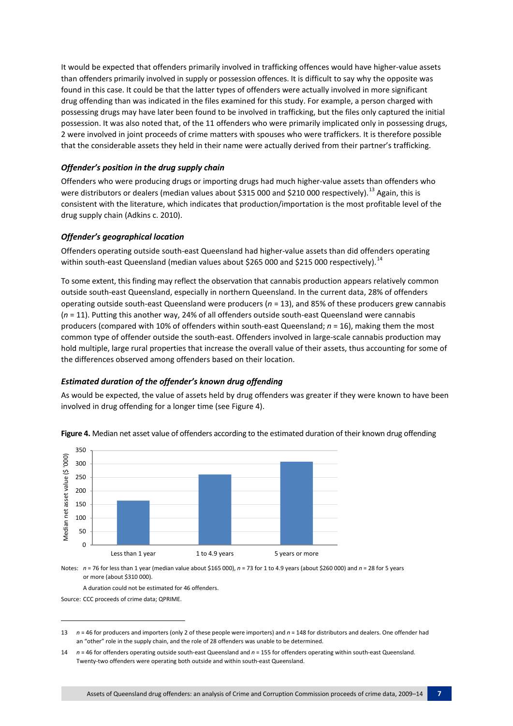It would be expected that offenders primarily involved in trafficking offences would have higher-value assets than offenders primarily involved in supply or possession offences. It is difficult to say why the opposite was found in this case. It could be that the latter types of offenders were actually involved in more significant drug offending than was indicated in the files examined for this study. For example, a person charged with possessing drugs may have later been found to be involved in trafficking, but the files only captured the initial possession. It was also noted that, of the 11 offenders who were primarily implicated only in possessing drugs, 2 were involved in joint proceeds of crime matters with spouses who were traffickers. It is therefore possible that the considerable assets they held in their name were actually derived from their partner's trafficking.

#### *Offender's position in the drug supply chain*

Offenders who were producing drugs or importing drugs had much higher-value assets than offenders who were distributors or dealers (median values about \$315 000 and \$210 000 respectively).<sup>[13](#page-6-0)</sup> Again, this is consistent with the literature, which indicates that production/importation is the most profitable level of the drug supply chain (Adkins c. 2010).

#### *Offender's geographical location*

Offenders operating outside south-east Queensland had higher-value assets than did offenders operating within south-east Queensland (median values about \$265 000 and \$215 000 respectively).<sup>[14](#page-6-1)</sup>

To some extent, this finding may reflect the observation that cannabis production appears relatively common outside south-east Queensland, especially in northern Queensland. In the current data, 28% of offenders operating outside south-east Queensland were producers (*n* = 13), and 85% of these producers grew cannabis (*n* = 11). Putting this another way, 24% of all offenders outside south-east Queensland were cannabis producers (compared with 10% of offenders within south-east Queensland; *n* = 16), making them the most common type of offender outside the south-east. Offenders involved in large-scale cannabis production may hold multiple, large rural properties that increase the overall value of their assets, thus accounting for some of the differences observed among offenders based on their location.

#### *Estimated duration of the offender's known drug offending*

As would be expected, the value of assets held by drug offenders was greater if they were known to have been involved in drug offending for a longer time (see Figure 4).



**Figure 4.** Median net asset value of offenders according to the estimated duration of their known drug offending

Notes: *n* = 76 for less than 1 year (median value about \$165 000), *n* = 73 for 1 to 4.9 years (about \$260 000) and *n* = 28 for 5 years or more (about \$310 000).

A duration could not be estimated for 46 offenders.

Source: CCC proceeds of crime data; QPRIME.

**.** 

<span id="page-6-0"></span><sup>13</sup> *n* = 46 for producers and importers (only 2 of these people were importers) and *n* = 148 for distributors and dealers. One offender had an "other" role in the supply chain, and the role of 28 offenders was unable to be determined.

<span id="page-6-1"></span><sup>14</sup> *n* = 46 for offenders operating outside south-east Queensland and *n* = 155 for offenders operating within south-east Queensland. Twenty-two offenders were operating both outside and within south-east Queensland.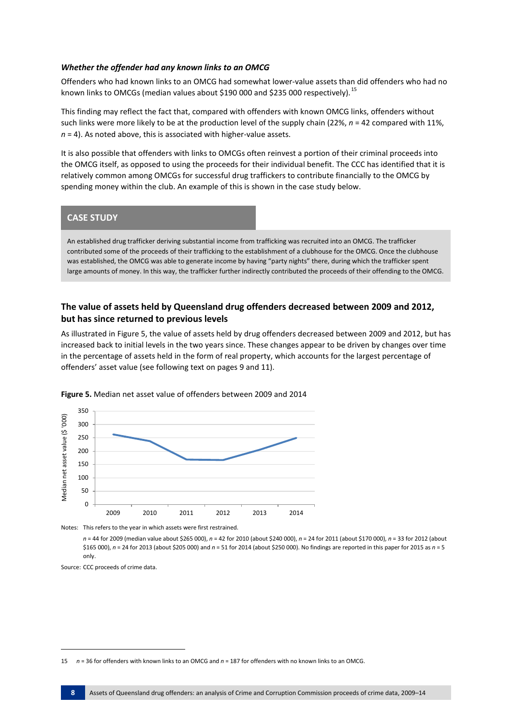#### *Whether the offender had any known links to an OMCG*

Offenders who had known links to an OMCG had somewhat lower-value assets than did offenders who had no known links to OMCGs (median values about \$190 000 and \$235 000 respectively).<sup>[15](#page-7-0)</sup>

This finding may reflect the fact that, compared with offenders with known OMCG links, offenders without such links were more likely to be at the production level of the supply chain (22%, *n* = 42 compared with 11%, *n* = 4). As noted above, this is associated with higher-value assets.

It is also possible that offenders with links to OMCGs often reinvest a portion of their criminal proceeds into the OMCG itself, as opposed to using the proceeds for their individual benefit. The CCC has identified that it is relatively common among OMCGs for successful drug traffickers to contribute financially to the OMCG by spending money within the club. An example of this is shown in the case study below.

#### **CASE STUDY**

An established drug trafficker deriving substantial income from trafficking was recruited into an OMCG. The trafficker contributed some of the proceeds of their trafficking to the establishment of a clubhouse for the OMCG. Once the clubhouse was established, the OMCG was able to generate income by having "party nights" there, during which the trafficker spent large amounts of money. In this way, the trafficker further indirectly contributed the proceeds of their offending to the OMCG.

#### **The value of assets held by Queensland drug offenders decreased between 2009 and 2012, but has since returned to previous levels**

As illustrated in Figure 5, the value of assets held by drug offenders decreased between 2009 and 2012, but has increased back to initial levels in the two years since. These changes appear to be driven by changes over time in the percentage of assets held in the form of real property, which accounts for the largest percentage of offenders' asset value (see following text on pages 9 and 11).



**Figure 5.** Median net asset value of offenders between 2009 and 2014

Notes: This refers to the year in which assets were first restrained.

*n* = 44 for 2009 (median value about \$265 000), *n* = 42 for 2010 (about \$240 000), *n* = 24 for 2011 (about \$170 000), *n* = 33 for 2012 (about \$165 000), *n* = 24 for 2013 (about \$205 000) and *n* = 51 for 2014 (about \$250 000). No findings are reported in this paper for 2015 as *n* = 5 only.

Source: CCC proceeds of crime data.

**.** 

<span id="page-7-0"></span><sup>15</sup> *n* = 36 for offenders with known links to an OMCG and *n* = 187 for offenders with no known links to an OMCG.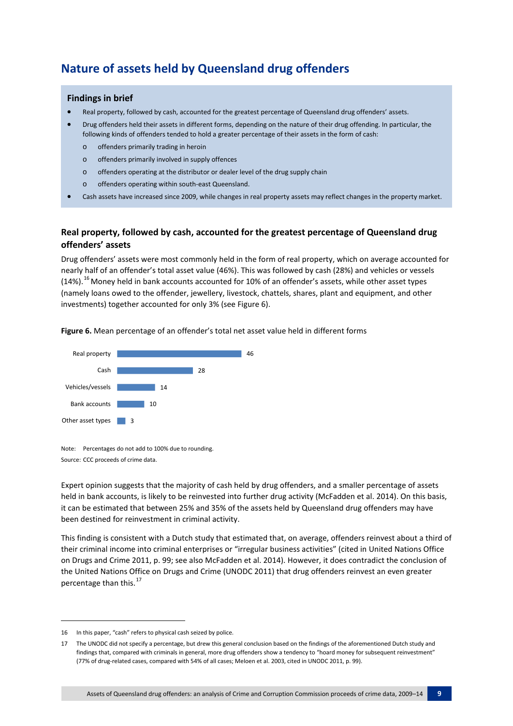### **Nature of assets held by Queensland drug offenders**

#### **Findings in brief**

- Real property, followed by cash, accounted for the greatest percentage of Queensland drug offenders' assets.
- Drug offenders held their assets in different forms, depending on the nature of their drug offending. In particular, the following kinds of offenders tended to hold a greater percentage of their assets in the form of cash:
	- o offenders primarily trading in heroin
	- o offenders primarily involved in supply offences
	- o offenders operating at the distributor or dealer level of the drug supply chain
	- o offenders operating within south-east Queensland.
- Cash assets have increased since 2009, while changes in real property assets may reflect changes in the property market.

#### **Real property, followed by cash, accounted for the greatest percentage of Queensland drug offenders' assets**

Drug offenders' assets were most commonly held in the form of real property, which on average accounted for nearly half of an offender's total asset value (46%). This was followed by cash (28%) and vehicles or vessels (14%).<sup>[16](#page-8-0)</sup> Money held in bank accounts accounted for 10% of an offender's assets, while other asset types (namely loans owed to the offender, jewellery, livestock, chattels, shares, plant and equipment, and other investments) together accounted for only 3% (see Figure 6).

**Figure 6.** Mean percentage of an offender's total net asset value held in different forms



Note: Percentages do not add to 100% due to rounding. Source: CCC proceeds of crime data.

Expert opinion suggests that the majority of cash held by drug offenders, and a smaller percentage of assets held in bank accounts, is likely to be reinvested into further drug activity (McFadden et al. 2014). On this basis, it can be estimated that between 25% and 35% of the assets held by Queensland drug offenders may have been destined for reinvestment in criminal activity.

This finding is consistent with a Dutch study that estimated that, on average, offenders reinvest about a third of their criminal income into criminal enterprises or "irregular business activities" (cited in United Nations Office on Drugs and Crime 2011, p. 99; see also McFadden et al. 2014). However, it does contradict the conclusion of the United Nations Office on Drugs and Crime (UNODC 2011) that drug offenders reinvest an even greater percentage than this.<sup>[17](#page-8-1)</sup>

**.** 

<span id="page-8-0"></span><sup>16</sup> In this paper, "cash" refers to physical cash seized by police.

<span id="page-8-1"></span><sup>17</sup> The UNODC did not specify a percentage, but drew this general conclusion based on the findings of the aforementioned Dutch study and findings that, compared with criminals in general, more drug offenders show a tendency to "hoard money for subsequent reinvestment" (77% of drug-related cases, compared with 54% of all cases; Meloen et al. 2003, cited in UNODC 2011, p. 99).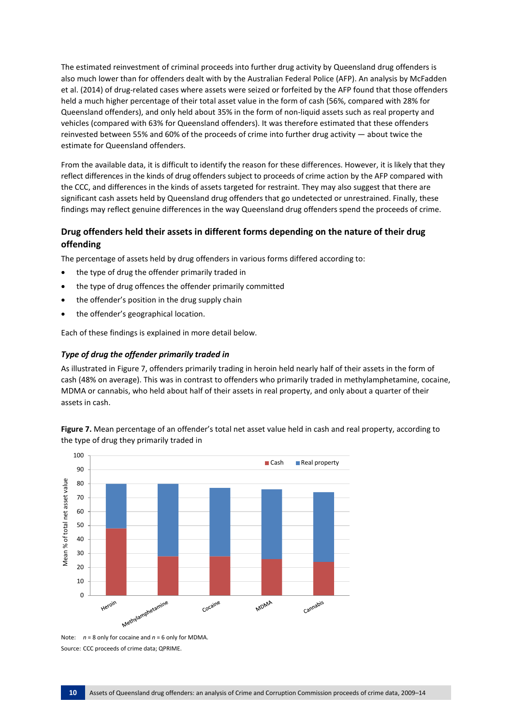The estimated reinvestment of criminal proceeds into further drug activity by Queensland drug offenders is also much lower than for offenders dealt with by the Australian Federal Police (AFP). An analysis by McFadden et al. (2014) of drug-related cases where assets were seized or forfeited by the AFP found that those offenders held a much higher percentage of their total asset value in the form of cash (56%, compared with 28% for Queensland offenders), and only held about 35% in the form of non-liquid assets such as real property and vehicles (compared with 63% for Queensland offenders). It was therefore estimated that these offenders reinvested between 55% and 60% of the proceeds of crime into further drug activity — about twice the estimate for Queensland offenders.

From the available data, it is difficult to identify the reason for these differences. However, it is likely that they reflect differences in the kinds of drug offenders subject to proceeds of crime action by the AFP compared with the CCC, and differences in the kinds of assets targeted for restraint. They may also suggest that there are significant cash assets held by Queensland drug offenders that go undetected or unrestrained. Finally, these findings may reflect genuine differences in the way Queensland drug offenders spend the proceeds of crime.

#### **Drug offenders held their assets in different forms depending on the nature of their drug offending**

The percentage of assets held by drug offenders in various forms differed according to:

- the type of drug the offender primarily traded in
- the type of drug offences the offender primarily committed
- the offender's position in the drug supply chain
- the offender's geographical location.

Each of these findings is explained in more detail below.

#### *Type of drug the offender primarily traded in*

As illustrated in Figure 7, offenders primarily trading in heroin held nearly half of their assets in the form of cash (48% on average). This was in contrast to offenders who primarily traded in methylamphetamine, cocaine, MDMA or cannabis, who held about half of their assets in real property, and only about a quarter of their assets in cash.



**Figure 7.** Mean percentage of an offender's total net asset value held in cash and real property, according to the type of drug they primarily traded in

Note: *n* = 8 only for cocaine and *n* = 6 only for MDMA. Source: CCC proceeds of crime data; QPRIME.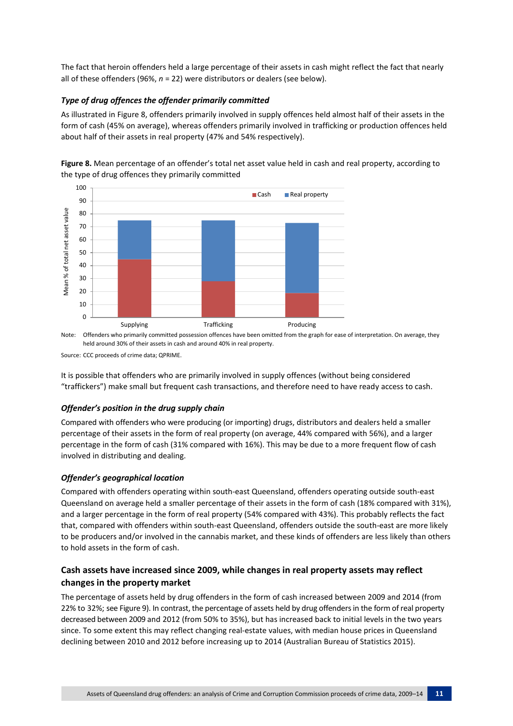The fact that heroin offenders held a large percentage of their assets in cash might reflect the fact that nearly all of these offenders (96%, *n* = 22) were distributors or dealers (see below).

#### *Type of drug offences the offender primarily committed*

As illustrated in Figure 8, offenders primarily involved in supply offences held almost half of their assets in the form of cash (45% on average), whereas offenders primarily involved in trafficking or production offences held about half of their assets in real property (47% and 54% respectively).



**Figure 8.** Mean percentage of an offender's total net asset value held in cash and real property, according to the type of drug offences they primarily committed

Note: Offenders who primarily committed possession offences have been omitted from the graph for ease of interpretation. On average, they held around 30% of their assets in cash and around 40% in real property.

It is possible that offenders who are primarily involved in supply offences (without being considered "traffickers") make small but frequent cash transactions, and therefore need to have ready access to cash.

#### *Offender's position in the drug supply chain*

Compared with offenders who were producing (or importing) drugs, distributors and dealers held a smaller percentage of their assets in the form of real property (on average, 44% compared with 56%), and a larger percentage in the form of cash (31% compared with 16%). This may be due to a more frequent flow of cash involved in distributing and dealing.

#### *Offender's geographical location*

Compared with offenders operating within south-east Queensland, offenders operating outside south-east Queensland on average held a smaller percentage of their assets in the form of cash (18% compared with 31%), and a larger percentage in the form of real property (54% compared with 43%). This probably reflects the fact that, compared with offenders within south-east Queensland, offenders outside the south-east are more likely to be producers and/or involved in the cannabis market, and these kinds of offenders are less likely than others to hold assets in the form of cash.

#### **Cash assets have increased since 2009, while changes in real property assets may reflect changes in the property market**

The percentage of assets held by drug offenders in the form of cash increased between 2009 and 2014 (from 22% to 32%; see Figure 9). In contrast, the percentage of assets held by drug offenders in the form of real property decreased between 2009 and 2012 (from 50% to 35%), but has increased back to initial levels in the two years since. To some extent this may reflect changing real-estate values, with median house prices in Queensland declining between 2010 and 2012 before increasing up to 2014 (Australian Bureau of Statistics 2015).

Source: CCC proceeds of crime data; QPRIME.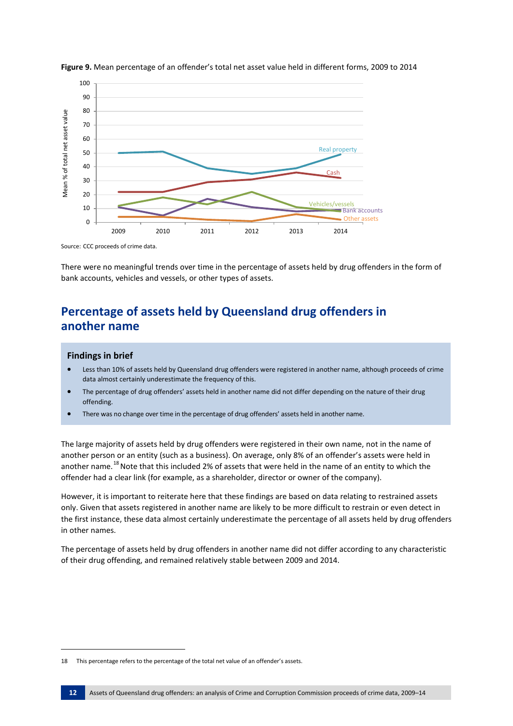



Source: CCC proceeds of crime data.

There were no meaningful trends over time in the percentage of assets held by drug offenders in the form of bank accounts, vehicles and vessels, or other types of assets.

### **Percentage of assets held by Queensland drug offenders in another name**

#### **Findings in brief**

**.** 

- Less than 10% of assets held by Queensland drug offenders were registered in another name, although proceeds of crime data almost certainly underestimate the frequency of this.
- The percentage of drug offenders' assets held in another name did not differ depending on the nature of their drug offending.
- There was no change over time in the percentage of drug offenders' assets held in another name.

The large majority of assets held by drug offenders were registered in their own name, not in the name of another person or an entity (such as a business). On average, only 8% of an offender's assets were held in another name.<sup>[18](#page-11-0)</sup> Note that this included 2% of assets that were held in the name of an entity to which the offender had a clear link (for example, as a shareholder, director or owner of the company).

However, it is important to reiterate here that these findings are based on data relating to restrained assets only. Given that assets registered in another name are likely to be more difficult to restrain or even detect in the first instance, these data almost certainly underestimate the percentage of all assets held by drug offenders in other names.

The percentage of assets held by drug offenders in another name did not differ according to any characteristic of their drug offending, and remained relatively stable between 2009 and 2014.

<span id="page-11-0"></span><sup>18</sup> This percentage refers to the percentage of the total net value of an offender's assets.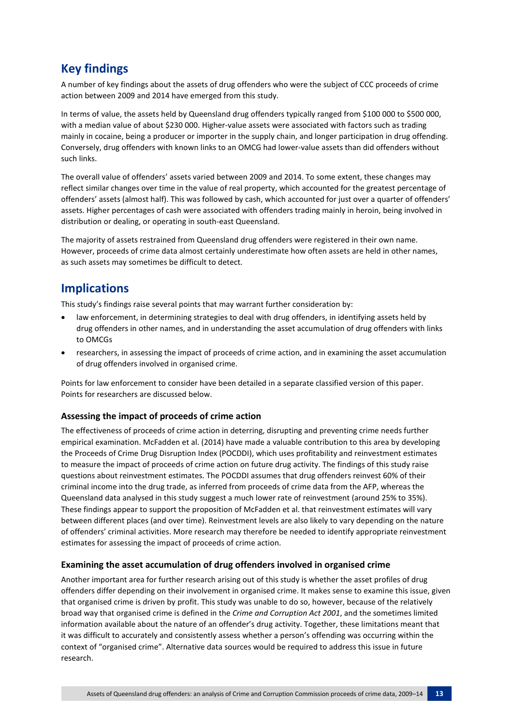### **Key findings**

A number of key findings about the assets of drug offenders who were the subject of CCC proceeds of crime action between 2009 and 2014 have emerged from this study.

In terms of value, the assets held by Queensland drug offenders typically ranged from \$100 000 to \$500 000, with a median value of about \$230 000. Higher-value assets were associated with factors such as trading mainly in cocaine, being a producer or importer in the supply chain, and longer participation in drug offending. Conversely, drug offenders with known links to an OMCG had lower-value assets than did offenders without such links.

The overall value of offenders' assets varied between 2009 and 2014. To some extent, these changes may reflect similar changes over time in the value of real property, which accounted for the greatest percentage of offenders' assets (almost half). This was followed by cash, which accounted for just over a quarter of offenders' assets. Higher percentages of cash were associated with offenders trading mainly in heroin, being involved in distribution or dealing, or operating in south-east Queensland.

The majority of assets restrained from Queensland drug offenders were registered in their own name. However, proceeds of crime data almost certainly underestimate how often assets are held in other names, as such assets may sometimes be difficult to detect.

### **Implications**

This study's findings raise several points that may warrant further consideration by:

- law enforcement, in determining strategies to deal with drug offenders, in identifying assets held by drug offenders in other names, and in understanding the asset accumulation of drug offenders with links to OMCGs
- researchers, in assessing the impact of proceeds of crime action, and in examining the asset accumulation of drug offenders involved in organised crime.

Points for law enforcement to consider have been detailed in a separate classified version of this paper. Points for researchers are discussed below.

#### **Assessing the impact of proceeds of crime action**

The effectiveness of proceeds of crime action in deterring, disrupting and preventing crime needs further empirical examination. McFadden et al. (2014) have made a valuable contribution to this area by developing the Proceeds of Crime Drug Disruption Index (POCDDI), which uses profitability and reinvestment estimates to measure the impact of proceeds of crime action on future drug activity. The findings of this study raise questions about reinvestment estimates. The POCDDI assumes that drug offenders reinvest 60% of their criminal income into the drug trade, as inferred from proceeds of crime data from the AFP, whereas the Queensland data analysed in this study suggest a much lower rate of reinvestment (around 25% to 35%). These findings appear to support the proposition of McFadden et al. that reinvestment estimates will vary between different places (and over time). Reinvestment levels are also likely to vary depending on the nature of offenders' criminal activities. More research may therefore be needed to identify appropriate reinvestment estimates for assessing the impact of proceeds of crime action.

#### **Examining the asset accumulation of drug offenders involved in organised crime**

Another important area for further research arising out of this study is whether the asset profiles of drug offenders differ depending on their involvement in organised crime. It makes sense to examine this issue, given that organised crime is driven by profit. This study was unable to do so, however, because of the relatively broad way that organised crime is defined in the *Crime and Corruption Act 2001*, and the sometimes limited information available about the nature of an offender's drug activity. Together, these limitations meant that it was difficult to accurately and consistently assess whether a person's offending was occurring within the context of "organised crime". Alternative data sources would be required to address this issue in future research.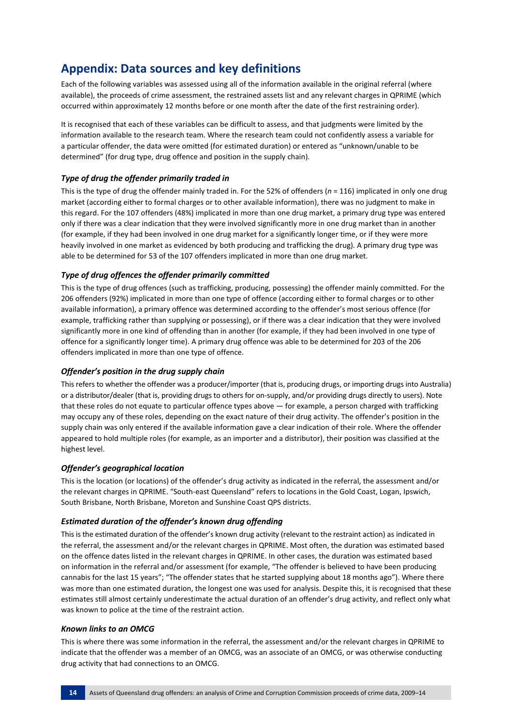### **Appendix: Data sources and key definitions**

Each of the following variables was assessed using all of the information available in the original referral (where available), the proceeds of crime assessment, the restrained assets list and any relevant charges in QPRIME (which occurred within approximately 12 months before or one month after the date of the first restraining order).

It is recognised that each of these variables can be difficult to assess, and that judgments were limited by the information available to the research team. Where the research team could not confidently assess a variable for a particular offender, the data were omitted (for estimated duration) or entered as "unknown/unable to be determined" (for drug type, drug offence and position in the supply chain).

#### *Type of drug the offender primarily traded in*

This is the type of drug the offender mainly traded in. For the 52% of offenders (*n* = 116) implicated in only one drug market (according either to formal charges or to other available information), there was no judgment to make in this regard. For the 107 offenders (48%) implicated in more than one drug market, a primary drug type was entered only if there was a clear indication that they were involved significantly more in one drug market than in another (for example, if they had been involved in one drug market for a significantly longer time, or if they were more heavily involved in one market as evidenced by both producing and trafficking the drug). A primary drug type was able to be determined for 53 of the 107 offenders implicated in more than one drug market.

#### *Type of drug offences the offender primarily committed*

This is the type of drug offences (such as trafficking, producing, possessing) the offender mainly committed. For the 206 offenders (92%) implicated in more than one type of offence (according either to formal charges or to other available information), a primary offence was determined according to the offender's most serious offence (for example, trafficking rather than supplying or possessing), or if there was a clear indication that they were involved significantly more in one kind of offending than in another (for example, if they had been involved in one type of offence for a significantly longer time). A primary drug offence was able to be determined for 203 of the 206 offenders implicated in more than one type of offence.

#### *Offender's position in the drug supply chain*

This refers to whether the offender was a producer/importer (that is, producing drugs, or importing drugs into Australia) or a distributor/dealer (that is, providing drugs to others for on-supply, and/or providing drugs directly to users). Note that these roles do not equate to particular offence types above — for example, a person charged with trafficking may occupy any of these roles, depending on the exact nature of their drug activity. The offender's position in the supply chain was only entered if the available information gave a clear indication of their role. Where the offender appeared to hold multiple roles (for example, as an importer and a distributor), their position was classified at the highest level.

#### *Offender's geographical location*

This is the location (or locations) of the offender's drug activity as indicated in the referral, the assessment and/or the relevant charges in QPRIME. "South-east Queensland" refers to locations in the Gold Coast, Logan, Ipswich, South Brisbane, North Brisbane, Moreton and Sunshine Coast QPS districts.

#### *Estimated duration of the offender's known drug offending*

This is the estimated duration of the offender's known drug activity (relevant to the restraint action) as indicated in the referral, the assessment and/or the relevant charges in QPRIME. Most often, the duration was estimated based on the offence dates listed in the relevant charges in QPRIME. In other cases, the duration was estimated based on information in the referral and/or assessment (for example, "The offender is believed to have been producing cannabis for the last 15 years"; "The offender states that he started supplying about 18 months ago"). Where there was more than one estimated duration, the longest one was used for analysis. Despite this, it is recognised that these estimates still almost certainly underestimate the actual duration of an offender's drug activity, and reflect only what was known to police at the time of the restraint action.

#### *Known links to an OMCG*

This is where there was some information in the referral, the assessment and/or the relevant charges in QPRIME to indicate that the offender was a member of an OMCG, was an associate of an OMCG, or was otherwise conducting drug activity that had connections to an OMCG.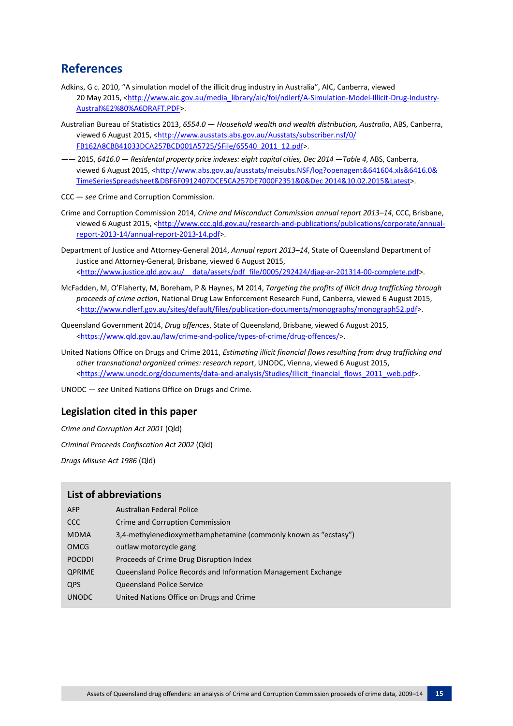### **References**

- Adkins, G c. 2010, "A simulation model of the illicit drug industry in Australia", AIC, Canberra, viewed 20 May 2015, [<http://www.aic.gov.au/media\\_library/aic/foi/ndlerf/A-Simulation-Model-Illicit-Drug-Industry-](http://www.aic.gov.au/media_library/aic/foi/ndlerf/A-Simulation-Model-Illicit-Drug-Industry-Austral%E2%80%A6DRAFT.PDF)[Austral%E2%80%A6DRAFT.PDF>](http://www.aic.gov.au/media_library/aic/foi/ndlerf/A-Simulation-Model-Illicit-Drug-Industry-Austral%E2%80%A6DRAFT.PDF).
- Australian Bureau of Statistics 2013, *6554.0 — Household wealth and wealth distribution, Australia*, ABS, Canberra, viewed 6 August 2015, [<http://www.ausstats.abs.gov.au/Ausstats/subscriber.nsf/0/](http://www.ausstats.abs.gov.au/Ausstats/subscriber.nsf/0/FB162A8CBB41033DCA257BCD001A5725/$File/65540_2011_12.pdf) [FB162A8CBB41033DCA257BCD001A5725/\\$File/65540\\_2011\\_12.pdf>](http://www.ausstats.abs.gov.au/Ausstats/subscriber.nsf/0/FB162A8CBB41033DCA257BCD001A5725/$File/65540_2011_12.pdf).
- —— 2015, *6416.0 — Residental property price indexes: eight capital cities, Dec 2014 —Table 4*, ABS, Canberra, viewed 6 August 2015, [<http://www.abs.gov.au/ausstats/meisubs.NSF/log?openagent&641604.xls&6416.0&](http://www.abs.gov.au/ausstats/meisubs.NSF/log?openagent&641604.xls&6416.0&TimeSeriesSpreadsheet&DBF6F0912407DCE5CA257DE7000F2351&0&Dec%202014&10.02.2015&Latest) [TimeSeriesSpreadsheet&DBF6F0912407DCE5CA257DE7000F2351&0&Dec 2014&10.02.2015&Latest>](http://www.abs.gov.au/ausstats/meisubs.NSF/log?openagent&641604.xls&6416.0&TimeSeriesSpreadsheet&DBF6F0912407DCE5CA257DE7000F2351&0&Dec%202014&10.02.2015&Latest).

CCC — *see* Crime and Corruption Commission.

- Crime and Corruption Commission 2014, *Crime and Misconduct Commission annual report 2013–14*, CCC, Brisbane, viewed 6 August 2015, [<http://www.ccc.qld.gov.au/research-and-publications/publications/corporate/annual](http://www.ccc.qld.gov.au/research-and-publications/publications/corporate/annual-report-2013-14/annual-report-2013-14.pdf)[report-2013-14/annual-report-2013-14.pdf>](http://www.ccc.qld.gov.au/research-and-publications/publications/corporate/annual-report-2013-14/annual-report-2013-14.pdf).
- Department of Justice and Attorney-General 2014, *Annual report 2013–14*, State of Queensland Department of Justice and Attorney-General, Brisbane, viewed 6 August 2015, <http://www.justice.qld.gov.au/ data/assets/pdf file/0005/292424/djag-ar-201314-00-complete.pdf>.
- McFadden, M, O'Flaherty, M, Boreham, P & Haynes, M 2014, *Targeting the profits of illicit drug trafficking through proceeds of crime action*, National Drug Law Enforcement Research Fund, Canberra, viewed 6 August 2015, [<http://www.ndlerf.gov.au/sites/default/files/publication-documents/monographs/monograph52.pdf>](http://www.ndlerf.gov.au/sites/default/files/publication-documents/monographs/monograph52.pdf).
- Queensland Government 2014, *Drug offences*, State of Queensland, Brisbane, viewed 6 August 2015, [<https://www.qld.gov.au/law/crime-and-police/types-of-crime/drug-offences/>](https://www.qld.gov.au/law/crime-and-police/types-of-crime/drug-offences/).
- United Nations Office on Drugs and Crime 2011, *Estimating illicit financial flows resulting from drug trafficking and other transnational organized crimes: research report*, UNODC, Vienna, viewed 6 August 2015, [<https://www.unodc.org/documents/data-and-analysis/Studies/Illicit\\_financial\\_flows\\_2011\\_web.pdf>](https://www.unodc.org/documents/data-and-analysis/Studies/Illicit_financial_flows_2011_web.pdf).

UNODC — *see* United Nations Office on Drugs and Crime.

#### **Legislation cited in this paper**

*Crime and Corruption Act 2001* (Qld) *Criminal Proceeds Confiscation Act 2002* (Qld) *Drugs Misuse Act 1986* (Qld)

#### **List of abbreviations**

| <b>AFP</b>    | <b>Australian Federal Police</b>                                |
|---------------|-----------------------------------------------------------------|
| CCC           | Crime and Corruption Commission                                 |
| <b>MDMA</b>   | 3,4-methylenedioxymethamphetamine (commonly known as "ecstasy") |
| <b>OMCG</b>   | outlaw motorcycle gang                                          |
| <b>POCDDI</b> | Proceeds of Crime Drug Disruption Index                         |
| <b>QPRIME</b> | Queensland Police Records and Information Management Exchange   |
| <b>QPS</b>    | <b>Queensland Police Service</b>                                |
| <b>UNODC</b>  | United Nations Office on Drugs and Crime                        |